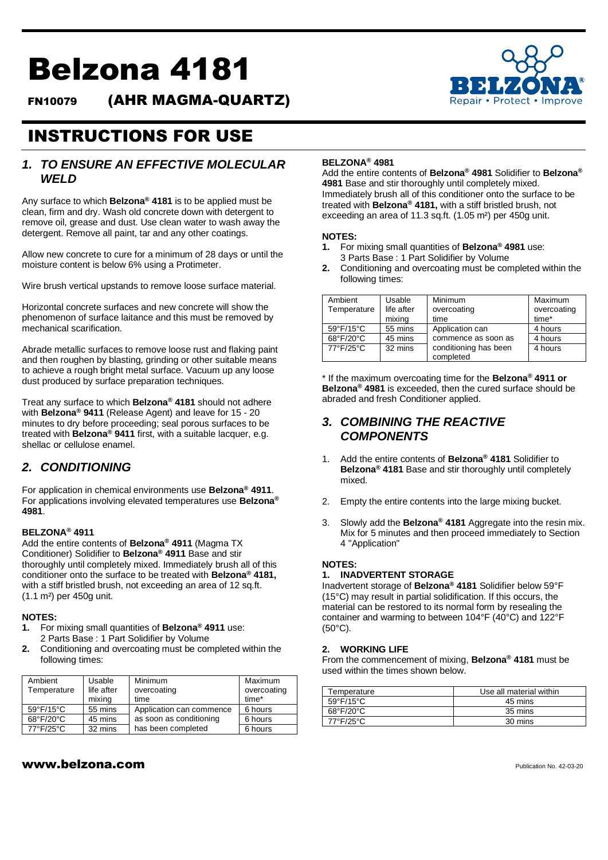# Belzona 4181

FN10079 (AHR MAGMA-QUARTZ)



## INSTRUCTIONS FOR USE

#### *1. TO ENSURE AN EFFECTIVE MOLECULAR WELD*

Any surface to which **Belzona® 4181** is to be applied must be clean, firm and dry. Wash old concrete down with detergent to remove oil, grease and dust. Use clean water to wash away the detergent. Remove all paint, tar and any other coatings.

Allow new concrete to cure for a minimum of 28 days or until the moisture content is below 6% using a Protimeter.

Wire brush vertical upstands to remove loose surface material.

Horizontal concrete surfaces and new concrete will show the phenomenon of surface laitance and this must be removed by mechanical scarification.

Abrade metallic surfaces to remove loose rust and flaking paint and then roughen by blasting, grinding or other suitable means to achieve a rough bright metal surface. Vacuum up any loose dust produced by surface preparation techniques.

Treat any surface to which **Belzona® 4181** should not adhere with **Belzona® 9411** (Release Agent) and leave for 15 - 20 minutes to dry before proceeding; seal porous surfaces to be treated with **Belzona® 9411** first, with a suitable lacquer, e.g. shellac or cellulose enamel.

#### *2. CONDITIONING*

For application in chemical environments use **Belzona® 4911**. For applications involving elevated temperatures use **Belzona® 4981**.

#### **BELZONA® 4911**

Add the entire contents of **Belzona® 4911** (Magma TX Conditioner) Solidifier to **Belzona® 4911** Base and stir thoroughly until completely mixed. Immediately brush all of this conditioner onto the surface to be treated with **Belzona® 4181,**  with a stiff bristled brush, not exceeding an area of 12 sq.ft. (1.1 m²) per 450g unit.

#### **NOTES:**

- **1.** For mixing small quantities of **Belzona® 4911** use: 2 Parts Base : 1 Part Solidifier by Volume
- **2.** Conditioning and overcoating must be completed within the following times:

| Ambient<br>Temperature | Usable<br>life after<br>mixing | Minimum<br>overcoating<br>time | Maximum<br>overcoating<br>time* |
|------------------------|--------------------------------|--------------------------------|---------------------------------|
| 59°F/15°C              | 55 mins                        | Application can commence       | 6 hours                         |
| 68°F/20°C              | 45 mins                        | as soon as conditioning        | 6 hours                         |
| 77°F/25°C              | 32 mins                        | has been completed             | 6 hours                         |

## Add the entire contents of **Belzona® 4981** Solidifier to **Belzona®**

**BELZONA® 4981**

**4981** Base and stir thoroughly until completely mixed. Immediately brush all of this conditioner onto the surface to be treated with **Belzona® 4181,** with a stiff bristled brush, not exceeding an area of 11.3 sq.ft. (1.05 m²) per 450g unit.

#### **NOTES:**

- **1.** For mixing small quantities of **Belzona® 4981** use: 3 Parts Base : 1 Part Solidifier by Volume
- **2.** Conditioning and overcoating must be completed within the following times:

| Ambient<br>Temperature | Usable<br>life after<br>mixing | Minimum<br>overcoating<br>time     | Maximum<br>overcoating<br>time* |
|------------------------|--------------------------------|------------------------------------|---------------------------------|
| 59°F/15°C              | 55 mins                        | Application can                    | 4 hours                         |
| 68°F/20°C              | 45 mins                        | commence as soon as                | 4 hours                         |
| 77°F/25°C              | 32 mins                        | conditioning has been<br>completed | 4 hours                         |

\* If the maximum overcoating time for the **Belzona® 4911 or Belzona® 4981** is exceeded, then the cured surface should be abraded and fresh Conditioner applied.

#### *3. COMBINING THE REACTIVE COMPONENTS*

- 1. Add the entire contents of **Belzona® 4181** Solidifier to **Belzona® 4181** Base and stir thoroughly until completely mixed.
- 2. Empty the entire contents into the large mixing bucket.
- 3. Slowly add the **Belzona® 4181** Aggregate into the resin mix. Mix for 5 minutes and then proceed immediately to Section 4 "Application"

#### **NOTES:**

#### **1. INADVERTENT STORAGE**

Inadvertent storage of **Belzona® 4181** Solidifier below 59°F (15°C) may result in partial solidification. If this occurs, the material can be restored to its normal form by resealing the container and warming to between 104°F (40°C) and 122°F  $(50^{\circ}C)$ .

#### **2. WORKING LIFE**

From the commencement of mixing, **Belzona® 4181** must be used within the times shown below.

| Temperature               | Use all material within |  |
|---------------------------|-------------------------|--|
| 59°F/15°C                 | 45 mins                 |  |
| $68^{\circ}F/20^{\circ}C$ | 35 mins                 |  |
| 77°F/25°C                 | 30 mins                 |  |